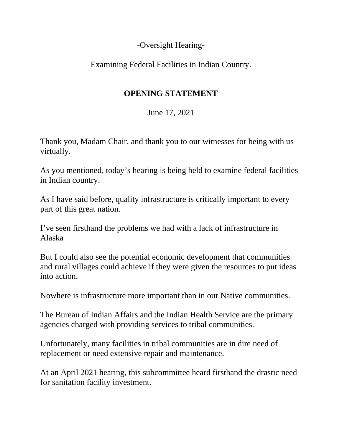-Oversight Hearing-

Examining Federal Facilities in Indian Country.

## **OPENING STATEMENT**

June 17, 2021

Thank you, Madam Chair, and thank you to our witnesses for being with us virtually.

As you mentioned, today's hearing is being held to examine federal facilities in Indian country.

As I have said before, quality infrastructure is critically important to every part of this great nation.

I've seen firsthand the problems we had with a lack of infrastructure in Alaska

But I could also see the potential economic development that communities and rural villages could achieve if they were given the resources to put ideas into action.

Nowhere is infrastructure more important than in our Native communities.

The Bureau of Indian Affairs and the Indian Health Service are the primary agencies charged with providing services to tribal communities.

Unfortunately, many facilities in tribal communities are in dire need of replacement or need extensive repair and maintenance.

At an April 2021 hearing, this subcommittee heard firsthand the drastic need for sanitation facility investment.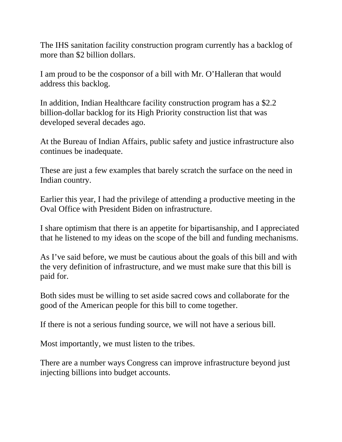The IHS sanitation facility construction program currently has a backlog of more than \$2 billion dollars.

I am proud to be the cosponsor of a bill with Mr. O'Halleran that would address this backlog.

In addition, Indian Healthcare facility construction program has a \$2.2 billion-dollar backlog for its High Priority construction list that was developed several decades ago.

At the Bureau of Indian Affairs, public safety and justice infrastructure also continues be inadequate.

These are just a few examples that barely scratch the surface on the need in Indian country.

Earlier this year, I had the privilege of attending a productive meeting in the Oval Office with President Biden on infrastructure.

I share optimism that there is an appetite for bipartisanship, and I appreciated that he listened to my ideas on the scope of the bill and funding mechanisms.

As I've said before, we must be cautious about the goals of this bill and with the very definition of infrastructure, and we must make sure that this bill is paid for.

Both sides must be willing to set aside sacred cows and collaborate for the good of the American people for this bill to come together.

If there is not a serious funding source, we will not have a serious bill.

Most importantly, we must listen to the tribes.

There are a number ways Congress can improve infrastructure beyond just injecting billions into budget accounts.